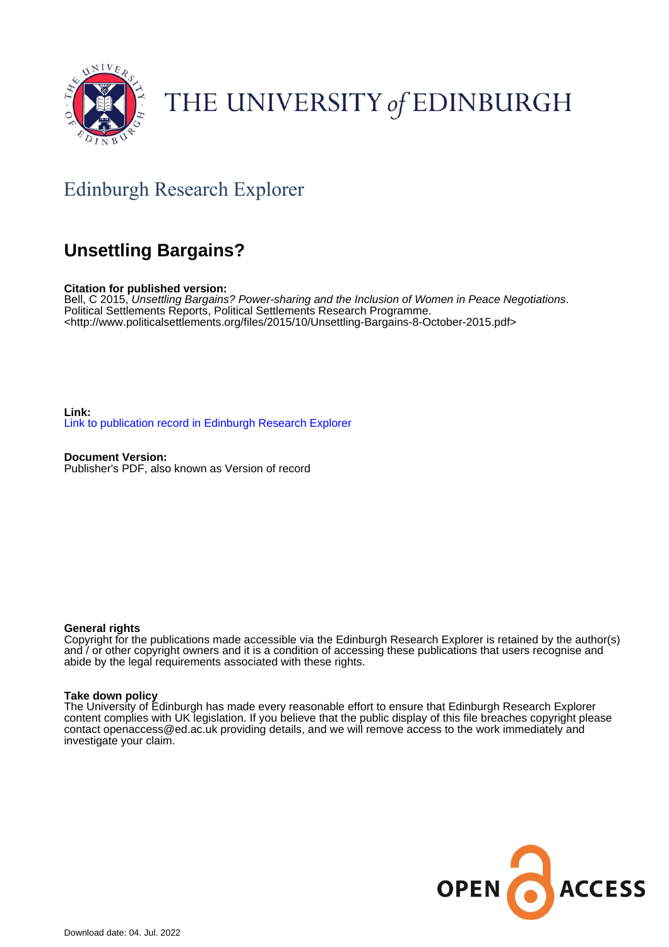

# THE UNIVERSITY of EDINBURGH

# Edinburgh Research Explorer

# **Unsettling Bargains?**

**Citation for published version:**

Bell, C 2015, Unsettling Bargains? Power-sharing and the Inclusion of Women in Peace Negotiations. Political Settlements Reports, Political Settlements Research Programme. <[http://www.politicalsettlements.org/files/2015/10/Unsettling-Bargains-8-October-2015.pdf>](http://www.politicalsettlements.org/files/2015/10/Unsettling-Bargains-8-October-2015.pdf)

**Link:** [Link to publication record in Edinburgh Research Explorer](https://www.research.ed.ac.uk/en/publications/29d4aef8-bbd6-421b-831d-4ede32d3a8eb)

**Document Version:** Publisher's PDF, also known as Version of record

#### **General rights**

Copyright for the publications made accessible via the Edinburgh Research Explorer is retained by the author(s) and / or other copyright owners and it is a condition of accessing these publications that users recognise and abide by the legal requirements associated with these rights.

#### **Take down policy**

The University of Edinburgh has made every reasonable effort to ensure that Edinburgh Research Explorer content complies with UK legislation. If you believe that the public display of this file breaches copyright please contact openaccess@ed.ac.uk providing details, and we will remove access to the work immediately and investigate your claim.

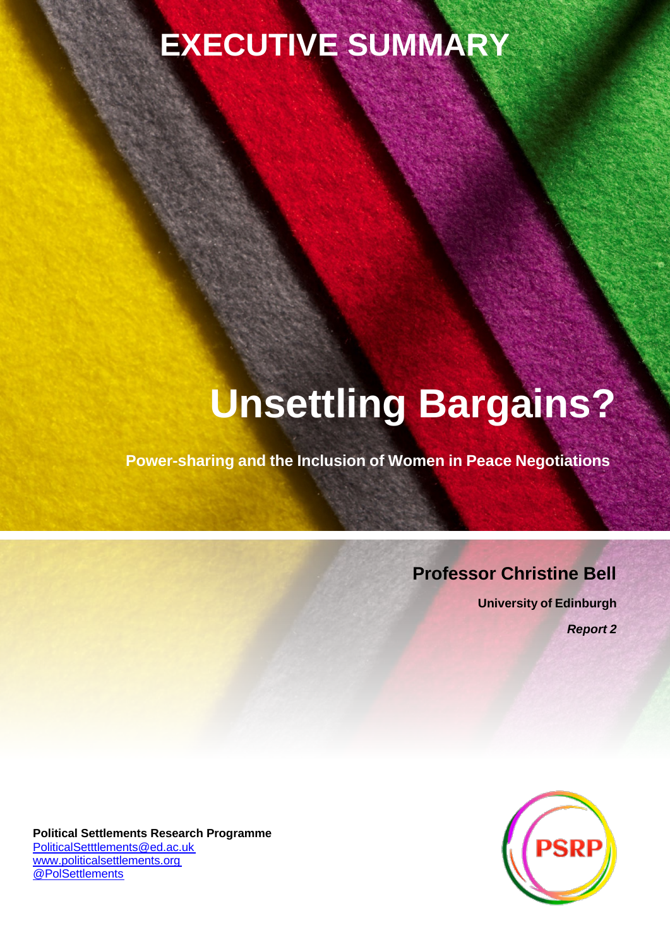# **EXECUTIVE SUMMARY**

# **Unsettling Bargains?**

**Power-sharing and the Inclusion of Women in Peace Negotiations**

# **Professor Christine Bell**

**University of Edinburgh** *Report 2*



**Political Settlements Research Programme** [PoliticalSetttlements@ed.ac.uk](mailto:PoliticalSetttlements@ed.ac.uk) [www.politicalsettlements.org](http://www.politicalsettlements.org/) [@PolSettlements](https://twitter.com/polsettlements)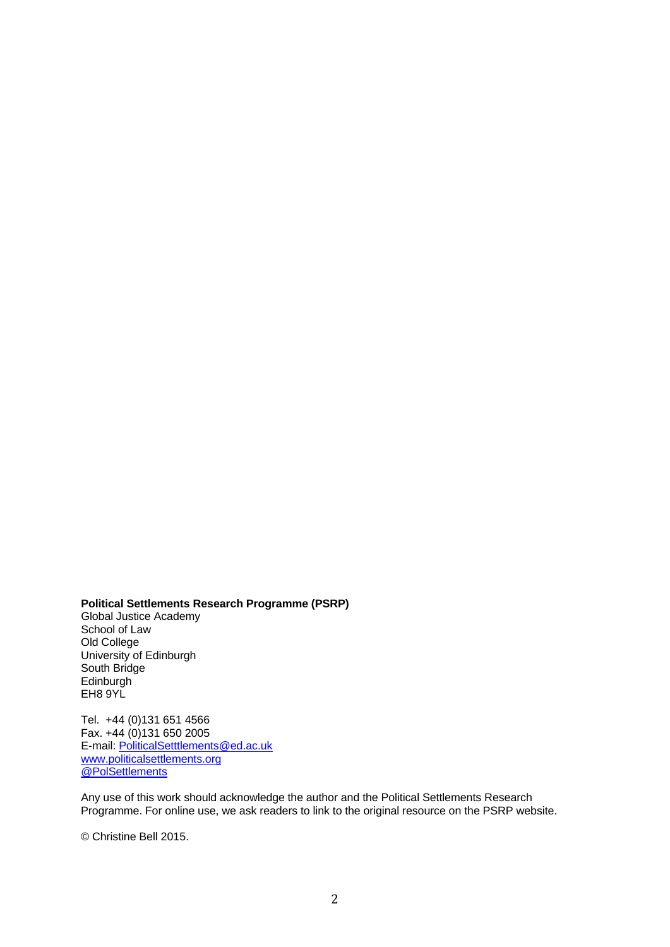**Political Settlements Research Programme (PSRP)**

Global Justice Academy School of Law Old College University of Edinburgh South Bridge Edinburgh EH8 9YL

Tel. +44 (0)131 651 4566 Fax. +44 (0)131 650 2005 E-mail: [PoliticalSetttlements@ed.ac.uk](mailto:PoliticalSetttlements@ed.ac.uk) [www.politicalsettlements.org](http://www.politicalsettlements.org/) [@PolSettlements](https://twitter.com/polsettlements)

Any use of this work should acknowledge the author and the Political Settlements Research Programme. For online use, we ask readers to link to the original resource on the PSRP website.

© Christine Bell 2015.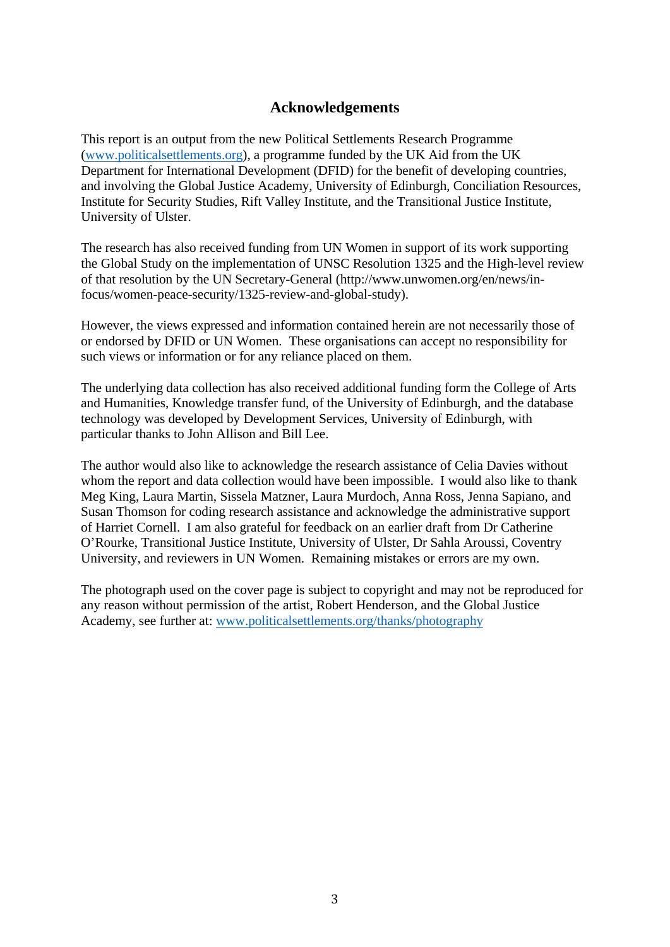# **Acknowledgements**

This report is an output from the new Political Settlements Research Programme [\(www.politicalsettlements.org\)](http://www.politicalsettlements.org/), a programme funded by the UK Aid from the UK Department for International Development (DFID) for the benefit of developing countries, and involving the Global Justice Academy, University of Edinburgh, Conciliation Resources, Institute for Security Studies, Rift Valley Institute, and the Transitional Justice Institute, University of Ulster.

The research has also received funding from UN Women in support of its work supporting the Global Study on the implementation of UNSC Resolution 1325 and the High-level review of that resolution by the UN Secretary-General [\(http://www.unwomen.org/en/news/in](http://www.unwomen.org/en/news/in-)focus/women-peace-security/1325-review-and-global-study).

However, the views expressed and information contained herein are not necessarily those of or endorsed by DFID or UN Women. These organisations can accept no responsibility for such views or information or for any reliance placed on them.

The underlying data collection has also received additional funding form the College of Arts and Humanities, Knowledge transfer fund, of the University of Edinburgh, and the database technology was developed by Development Services, University of Edinburgh, with particular thanks to John Allison and Bill Lee.

The author would also like to acknowledge the research assistance of Celia Davies without whom the report and data collection would have been impossible. I would also like to thank Meg King, Laura Martin, Sissela Matzner, Laura Murdoch, Anna Ross, Jenna Sapiano, and Susan Thomson for coding research assistance and acknowledge the administrative support of Harriet Cornell. I am also grateful for feedback on an earlier draft from Dr Catherine O'Rourke, Transitional Justice Institute, University of Ulster, Dr Sahla Aroussi, Coventry University, and reviewers in UN Women. Remaining mistakes or errors are my own.

The photograph used on the cover page is subject to copyright and may not be reproduced for any reason without permission of the artist, Robert Henderson, and the Global Justice Academy, see further at: [www.politicalsettlements.org/thanks/photography](http://www.politicalsettlements.org/thanks/photography)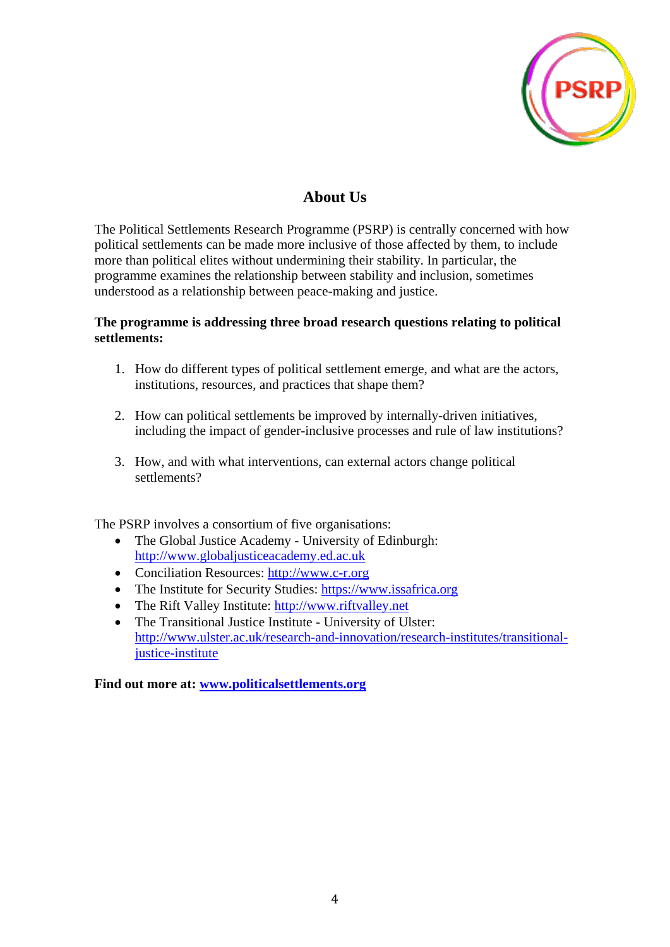

# **About Us**

The Political Settlements Research Programme (PSRP) is centrally concerned with how political settlements can be made more inclusive of those affected by them, to include more than political elites without undermining their stability. In particular, the programme examines the relationship between stability and inclusion, sometimes understood as a relationship between peace-making and justice.

# **The programme is addressing three broad research questions relating to political settlements:**

- 1. How do different types of political settlement emerge, and what are the actors, institutions, resources, and practices that shape them?
- 2. How can political settlements be improved by internally-driven initiatives, including the impact of gender-inclusive processes and rule of law institutions?
- 3. How, and with what interventions, can external actors change political settlements?

The PSRP involves a consortium of five organisations:

- The Global Justice Academy University of Edinburgh: [http://www.globaljusticeacademy.ed.ac.uk](http://www.globaljusticeacademy.ed.ac.uk/)
- Conciliation Resources: [http://www.c-r.org](http://www.c-r.org/)
- The Institute for Security Studies: [https://www.issafrica.org](https://www.issafrica.org/)
- The Rift Valley Institute: [http://www.riftvalley.net](http://www.riftvalley.net/)
- The Transitional Justice Institute University of Ulster: [http://www.ulster.ac.uk/research-and-innovation/research-institutes/transitional](http://www.ulster.ac.uk/research-and-innovation/research-institutes/transitional-justice-institute)[justice-institute](http://www.ulster.ac.uk/research-and-innovation/research-institutes/transitional-justice-institute)

**Find out more at: [www.politicalsettlements.org](http://www.politicalsettlements.org/)**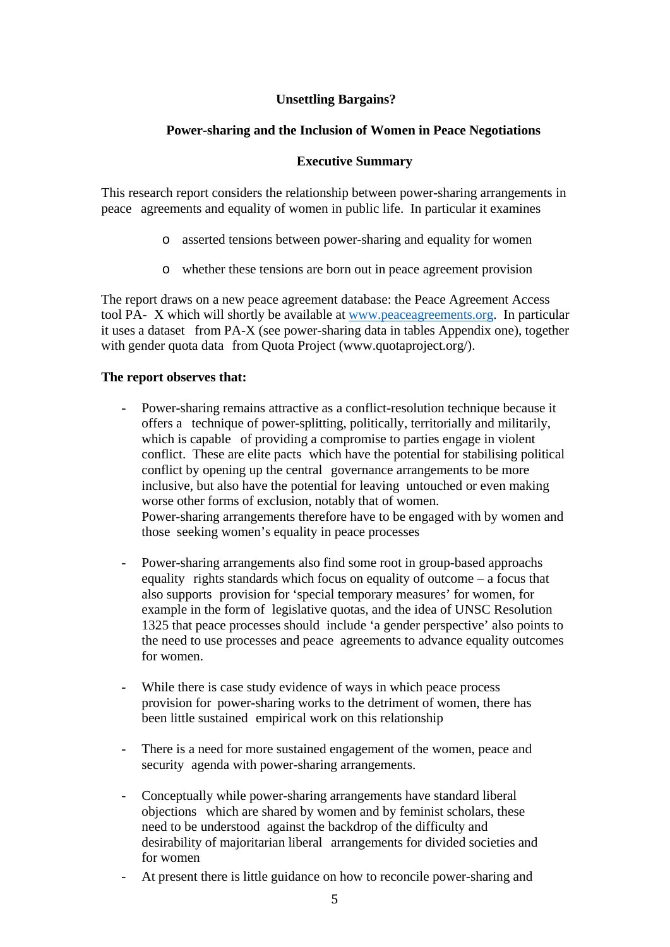# **Unsettling Bargains?**

# **Power-sharing and the Inclusion of Women in Peace Negotiations**

### **Executive Summary**

This research report considers the relationship between power-sharing arrangements in peace agreements and equality of women in public life. In particular it examines

- o asserted tensions between power-sharing and equality for women
- o whether these tensions are born out in peace agreement provision

The report draws on a new peace agreement database: the Peace Agreement Access tool PA- X which will shortly be available at [www.peaceagreements.org.](http://www.peaceagreements.org/) In particular it uses a dataset from PA-X (see power-sharing data in tables Appendix one), together with gender quota data from Quota Project [\(www.quotaproject.org/\).](http://www.quotaproject.org/))

### **The report observes that:**

- Power-sharing remains attractive as a conflict-resolution technique because it offers a technique of power-splitting, politically, territorially and militarily, which is capable of providing a compromise to parties engage in violent conflict. These are elite pacts which have the potential for stabilising political conflict by opening up the central governance arrangements to be more inclusive, but also have the potential for leaving untouched or even making worse other forms of exclusion, notably that of women. Power-sharing arrangements therefore have to be engaged with by women and those seeking women's equality in peace processes
- Power-sharing arrangements also find some root in group-based approachs equality rights standards which focus on equality of outcome – a focus that also supports provision for 'special temporary measures' for women, for example in the form of legislative quotas, and the idea of UNSC Resolution 1325 that peace processes should include 'a gender perspective' also points to the need to use processes and peace agreements to advance equality outcomes for women.
- While there is case study evidence of ways in which peace process provision for power-sharing works to the detriment of women, there has been little sustained empirical work on this relationship
- There is a need for more sustained engagement of the women, peace and security agenda with power-sharing arrangements.
- Conceptually while power-sharing arrangements have standard liberal objections which are shared by women and by feminist scholars, these need to be understood against the backdrop of the difficulty and desirability of majoritarian liberal arrangements for divided societies and for women
- At present there is little guidance on how to reconcile power-sharing and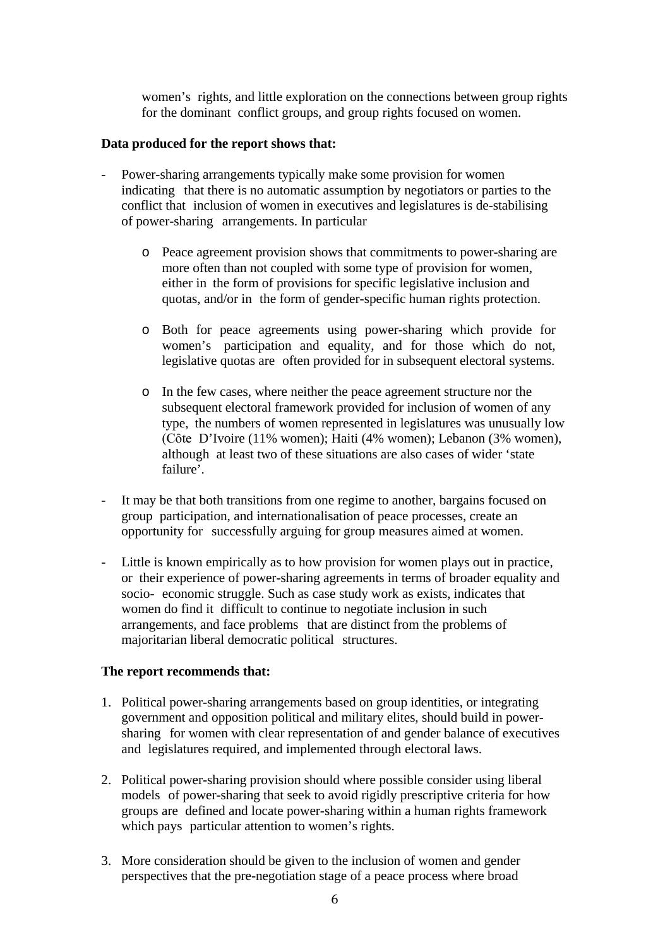women's rights, and little exploration on the connections between group rights for the dominant conflict groups, and group rights focused on women.

#### **Data produced for the report shows that:**

- Power-sharing arrangements typically make some provision for women indicating that there is no automatic assumption by negotiators or parties to the conflict that inclusion of women in executives and legislatures is de-stabilising of power-sharing arrangements. In particular
	- o Peace agreement provision shows that commitments to power-sharing are more often than not coupled with some type of provision for women, either in the form of provisions for specific legislative inclusion and quotas, and/or in the form of gender-specific human rights protection.
	- o Both for peace agreements using power-sharing which provide for women's participation and equality, and for those which do not, legislative quotas are often provided for in subsequent electoral systems.
	- o In the few cases, where neither the peace agreement structure nor the subsequent electoral framework provided for inclusion of women of any type, the numbers of women represented in legislatures was unusually low (Cȏte D'Ivoire (11% women); Haiti (4% women); Lebanon (3% women), although at least two of these situations are also cases of wider 'state failure'.
- It may be that both transitions from one regime to another, bargains focused on group participation, and internationalisation of peace processes, create an opportunity for successfully arguing for group measures aimed at women.
- Little is known empirically as to how provision for women plays out in practice, or their experience of power-sharing agreements in terms of broader equality and socio- economic struggle. Such as case study work as exists, indicates that women do find it difficult to continue to negotiate inclusion in such arrangements, and face problems that are distinct from the problems of majoritarian liberal democratic political structures.

#### **The report recommends that:**

- 1. Political power-sharing arrangements based on group identities, or integrating government and opposition political and military elites, should build in powersharing for women with clear representation of and gender balance of executives and legislatures required, and implemented through electoral laws.
- 2. Political power-sharing provision should where possible consider using liberal models of power-sharing that seek to avoid rigidly prescriptive criteria for how groups are defined and locate power-sharing within a human rights framework which pays particular attention to women's rights.
- 3. More consideration should be given to the inclusion of women and gender perspectives that the pre-negotiation stage of a peace process where broad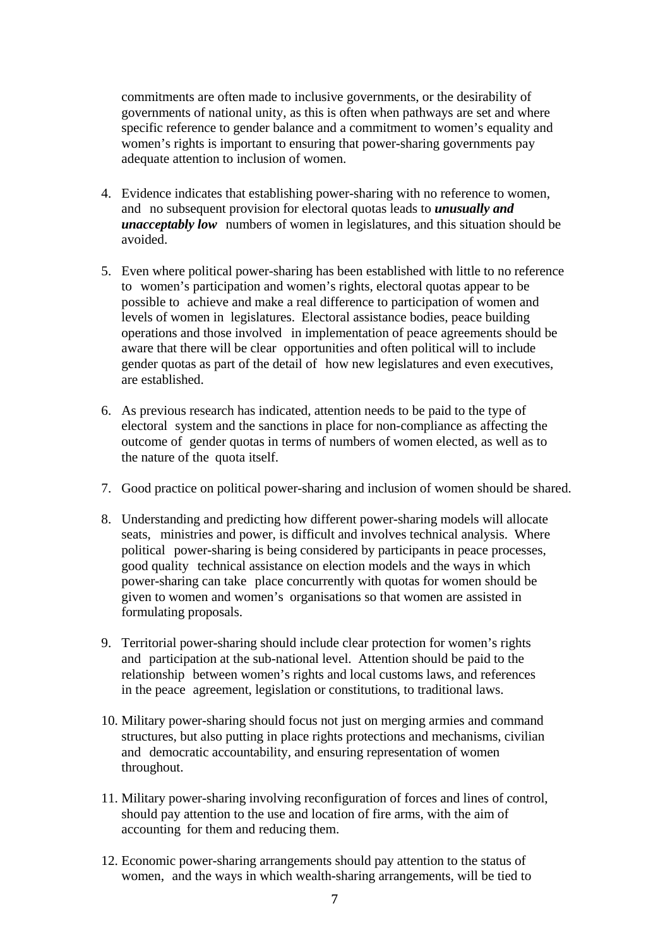commitments are often made to inclusive governments, or the desirability of governments of national unity, as this is often when pathways are set and where specific reference to gender balance and a commitment to women's equality and women's rights is important to ensuring that power-sharing governments pay adequate attention to inclusion of women.

- 4. Evidence indicates that establishing power-sharing with no reference to women, and no subsequent provision for electoral quotas leads to *unusually and unacceptably low* numbers of women in legislatures, and this situation should be avoided.
- 5. Even where political power-sharing has been established with little to no reference to women's participation and women's rights, electoral quotas appear to be possible to achieve and make a real difference to participation of women and levels of women in legislatures. Electoral assistance bodies, peace building operations and those involved in implementation of peace agreements should be aware that there will be clear opportunities and often political will to include gender quotas as part of the detail of how new legislatures and even executives, are established.
- 6. As previous research has indicated, attention needs to be paid to the type of electoral system and the sanctions in place for non-compliance as affecting the outcome of gender quotas in terms of numbers of women elected, as well as to the nature of the quota itself.
- 7. Good practice on political power-sharing and inclusion of women should be shared.
- 8. Understanding and predicting how different power-sharing models will allocate seats, ministries and power, is difficult and involves technical analysis. Where political power-sharing is being considered by participants in peace processes, good quality technical assistance on election models and the ways in which power-sharing can take place concurrently with quotas for women should be given to women and women's organisations so that women are assisted in formulating proposals.
- 9. Territorial power-sharing should include clear protection for women's rights and participation at the sub-national level. Attention should be paid to the relationship between women's rights and local customs laws, and references in the peace agreement, legislation or constitutions, to traditional laws.
- 10. Military power-sharing should focus not just on merging armies and command structures, but also putting in place rights protections and mechanisms, civilian and democratic accountability, and ensuring representation of women throughout.
- 11. Military power-sharing involving reconfiguration of forces and lines of control, should pay attention to the use and location of fire arms, with the aim of accounting for them and reducing them.
- 12. Economic power-sharing arrangements should pay attention to the status of women, and the ways in which wealth-sharing arrangements, will be tied to